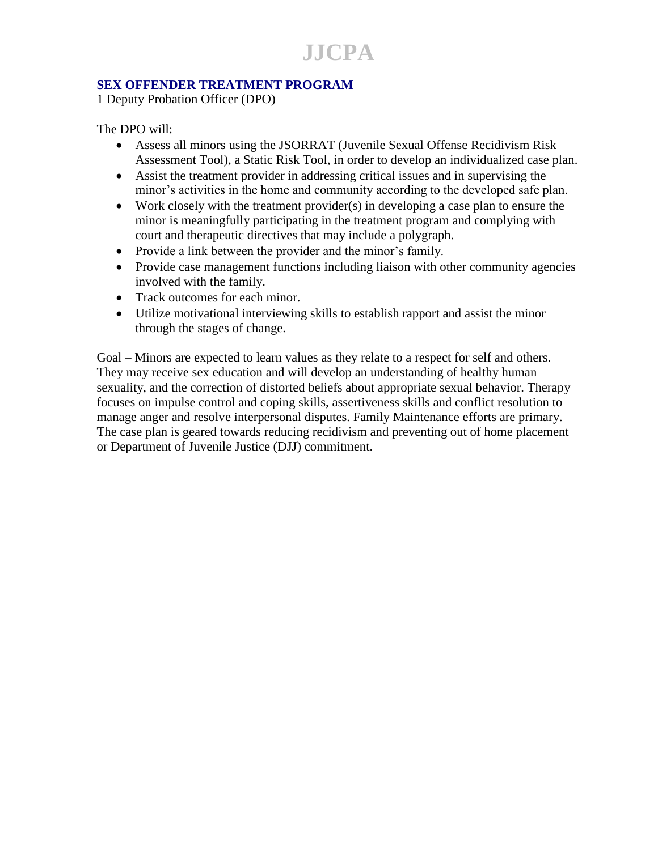**JJCPA**

### **SEX OFFENDER TREATMENT PROGRAM**

1 Deputy Probation Officer (DPO)

The DPO will:

- Assess all minors using the JSORRAT (Juvenile Sexual Offense Recidivism Risk Assessment Tool), a Static Risk Tool, in order to develop an individualized case plan.
- Assist the treatment provider in addressing critical issues and in supervising the minor's activities in the home and community according to the developed safe plan.
- Work closely with the treatment provider(s) in developing a case plan to ensure the minor is meaningfully participating in the treatment program and complying with court and therapeutic directives that may include a polygraph.
- Provide a link between the provider and the minor's family.
- Provide case management functions including liaison with other community agencies involved with the family.
- Track outcomes for each minor.
- Utilize motivational interviewing skills to establish rapport and assist the minor through the stages of change.

Goal – Minors are expected to learn values as they relate to a respect for self and others. They may receive sex education and will develop an understanding of healthy human sexuality, and the correction of distorted beliefs about appropriate sexual behavior. Therapy focuses on impulse control and coping skills, assertiveness skills and conflict resolution to manage anger and resolve interpersonal disputes. Family Maintenance efforts are primary. The case plan is geared towards reducing recidivism and preventing out of home placement or Department of Juvenile Justice (DJJ) commitment.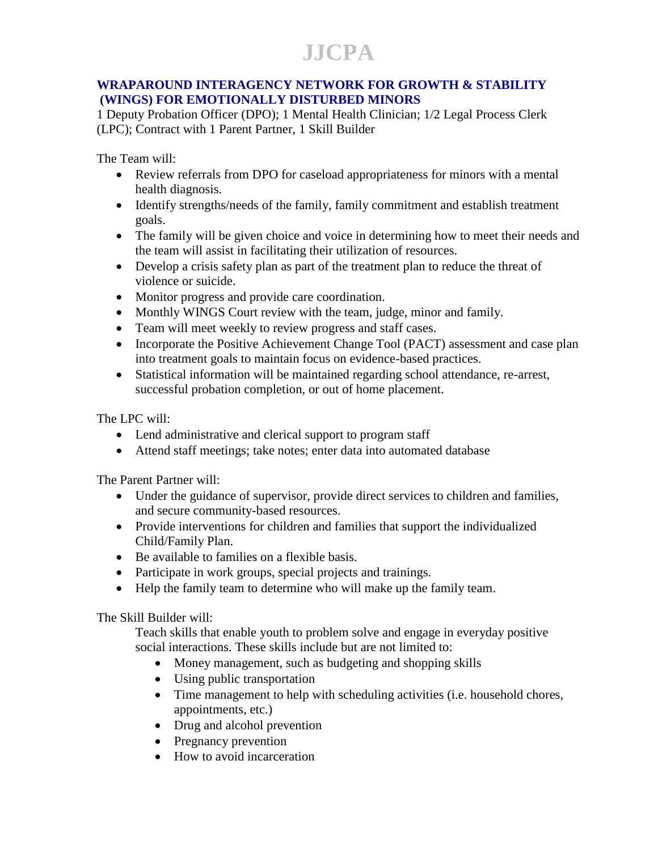## **JJCPA**

### **WRAPAROUND INTERAGENCY NETWORK FOR GROWTH & STABILITY (WINGS) FOR EMOTIONALLY DISTURBED MINORS**

1 Deputy Probation Officer (DPO); 1 Mental Health Clinician; 1/2 Legal Process Clerk (LPC); Contract with 1 Parent Partner, 1 Skill Builder

The Team will:

- Review referrals from DPO for caseload appropriateness for minors with a mental health diagnosis.
- Identify strengths/needs of the family, family commitment and establish treatment goals.
- The family will be given choice and voice in determining how to meet their needs and the team will assist in facilitating their utilization of resources.
- Develop a crisis safety plan as part of the treatment plan to reduce the threat of violence or suicide.
- Monitor progress and provide care coordination.
- Monthly WINGS Court review with the team, judge, minor and family.
- Team will meet weekly to review progress and staff cases.
- Incorporate the Positive Achievement Change Tool (PACT) assessment and case plan into treatment goals to maintain focus on evidence-based practices.
- Statistical information will be maintained regarding school attendance, re-arrest, successful probation completion, or out of home placement.

The LPC will:

- Lend administrative and clerical support to program staff
- Attend staff meetings; take notes; enter data into automated database

The Parent Partner will:

- Under the guidance of supervisor, provide direct services to children and families, and secure community-based resources.
- Provide interventions for children and families that support the individualized Child/Family Plan.
- Be available to families on a flexible basis.
- Participate in work groups, special projects and trainings.
- Help the family team to determine who will make up the family team.

The Skill Builder will:

Teach skills that enable youth to problem solve and engage in everyday positive social interactions. These skills include but are not limited to:

- Money management, such as budgeting and shopping skills
- Using public transportation
- Time management to help with scheduling activities (i.e. household chores, appointments, etc.)
- Drug and alcohol prevention
- Pregnancy prevention
- How to avoid incarceration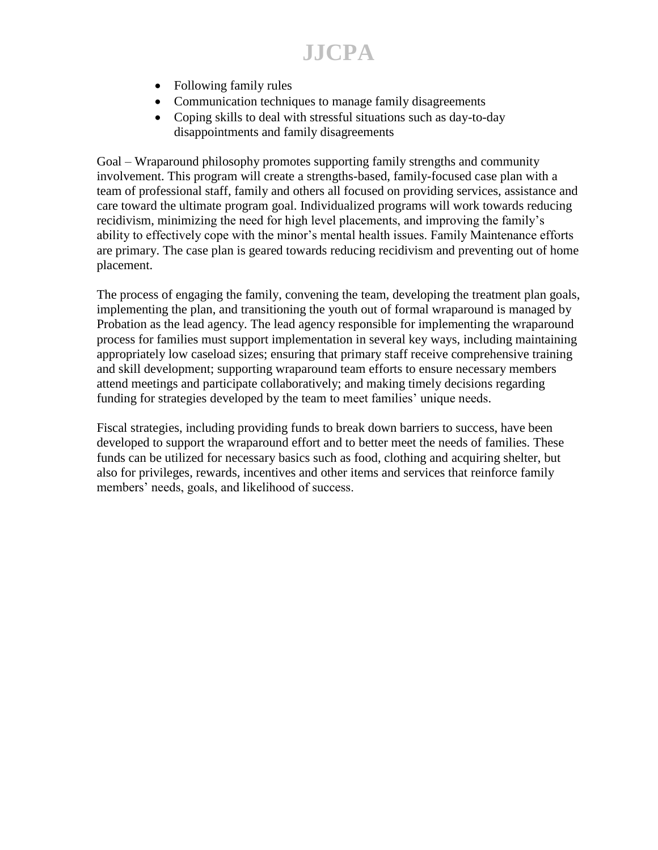**JJCPA**

- Following family rules
- Communication techniques to manage family disagreements
- Coping skills to deal with stressful situations such as day-to-day disappointments and family disagreements

Goal – Wraparound philosophy promotes supporting family strengths and community involvement. This program will create a strengths-based, family-focused case plan with a team of professional staff, family and others all focused on providing services, assistance and care toward the ultimate program goal. Individualized programs will work towards reducing recidivism, minimizing the need for high level placements, and improving the family's ability to effectively cope with the minor's mental health issues. Family Maintenance efforts are primary. The case plan is geared towards reducing recidivism and preventing out of home placement.

The process of engaging the family, convening the team, developing the treatment plan goals, implementing the plan, and transitioning the youth out of formal wraparound is managed by Probation as the lead agency. The lead agency responsible for implementing the wraparound process for families must support implementation in several key ways, including maintaining appropriately low caseload sizes; ensuring that primary staff receive comprehensive training and skill development; supporting wraparound team efforts to ensure necessary members attend meetings and participate collaboratively; and making timely decisions regarding funding for strategies developed by the team to meet families' unique needs.

Fiscal strategies, including providing funds to break down barriers to success, have been developed to support the wraparound effort and to better meet the needs of families. These funds can be utilized for necessary basics such as food, clothing and acquiring shelter, but also for privileges, rewards, incentives and other items and services that reinforce family members' needs, goals, and likelihood of success.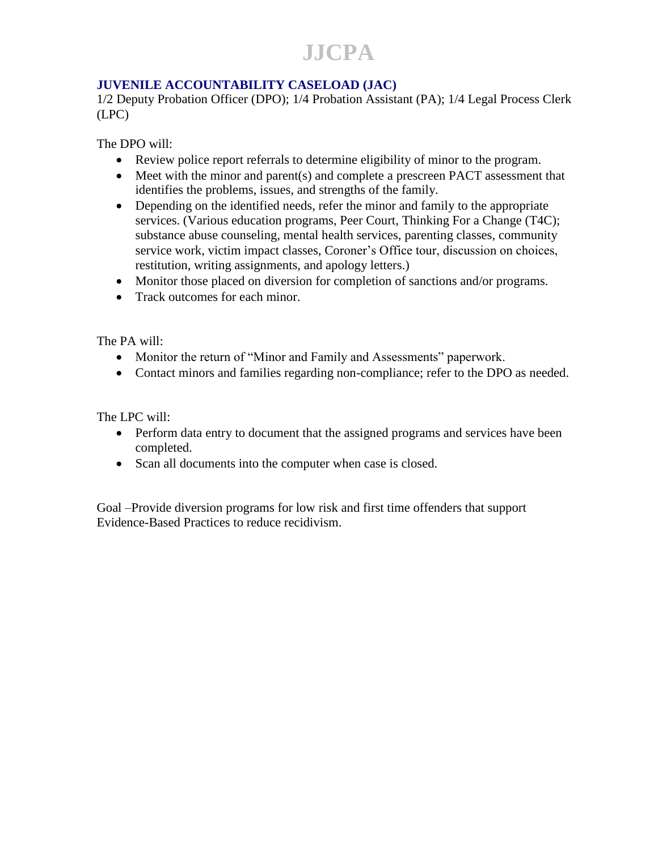**JJCPA**

### **JUVENILE ACCOUNTABILITY CASELOAD (JAC)**

1/2 Deputy Probation Officer (DPO); 1/4 Probation Assistant (PA); 1/4 Legal Process Clerk (LPC)

The DPO will:

- Review police report referrals to determine eligibility of minor to the program.
- Meet with the minor and parent(s) and complete a prescreen PACT assessment that identifies the problems, issues, and strengths of the family.
- Depending on the identified needs, refer the minor and family to the appropriate services. (Various education programs, Peer Court, Thinking For a Change (T4C); substance abuse counseling, mental health services, parenting classes, community service work, victim impact classes, Coroner's Office tour, discussion on choices, restitution, writing assignments, and apology letters.)
- Monitor those placed on diversion for completion of sanctions and/or programs.
- Track outcomes for each minor.

The PA will:

- Monitor the return of "Minor and Family and Assessments" paperwork.
- Contact minors and families regarding non-compliance; refer to the DPO as needed.

The LPC will:

- Perform data entry to document that the assigned programs and services have been completed.
- Scan all documents into the computer when case is closed.

Goal –Provide diversion programs for low risk and first time offenders that support Evidence-Based Practices to reduce recidivism.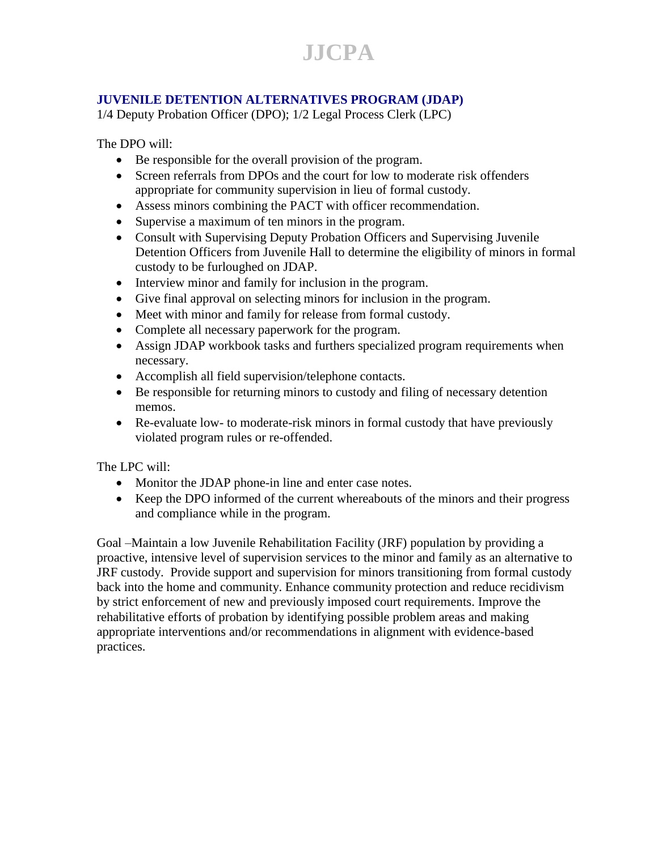# **JJCPA**

### **JUVENILE DETENTION ALTERNATIVES PROGRAM (JDAP)**

1/4 Deputy Probation Officer (DPO); 1/2 Legal Process Clerk (LPC)

The DPO will:

- Be responsible for the overall provision of the program.
- Screen referrals from DPOs and the court for low to moderate risk offenders appropriate for community supervision in lieu of formal custody.
- Assess minors combining the PACT with officer recommendation.
- Supervise a maximum of ten minors in the program.
- Consult with Supervising Deputy Probation Officers and Supervising Juvenile Detention Officers from Juvenile Hall to determine the eligibility of minors in formal custody to be furloughed on JDAP.
- Interview minor and family for inclusion in the program.
- Give final approval on selecting minors for inclusion in the program.
- Meet with minor and family for release from formal custody.
- Complete all necessary paperwork for the program.
- Assign JDAP workbook tasks and furthers specialized program requirements when necessary.
- Accomplish all field supervision/telephone contacts.
- Be responsible for returning minors to custody and filing of necessary detention memos.
- Re-evaluate low- to moderate-risk minors in formal custody that have previously violated program rules or re-offended.

The LPC will:

- Monitor the JDAP phone-in line and enter case notes.
- Keep the DPO informed of the current whereabouts of the minors and their progress and compliance while in the program.

Goal –Maintain a low Juvenile Rehabilitation Facility (JRF) population by providing a proactive, intensive level of supervision services to the minor and family as an alternative to JRF custody. Provide support and supervision for minors transitioning from formal custody back into the home and community. Enhance community protection and reduce recidivism by strict enforcement of new and previously imposed court requirements. Improve the rehabilitative efforts of probation by identifying possible problem areas and making appropriate interventions and/or recommendations in alignment with evidence-based practices.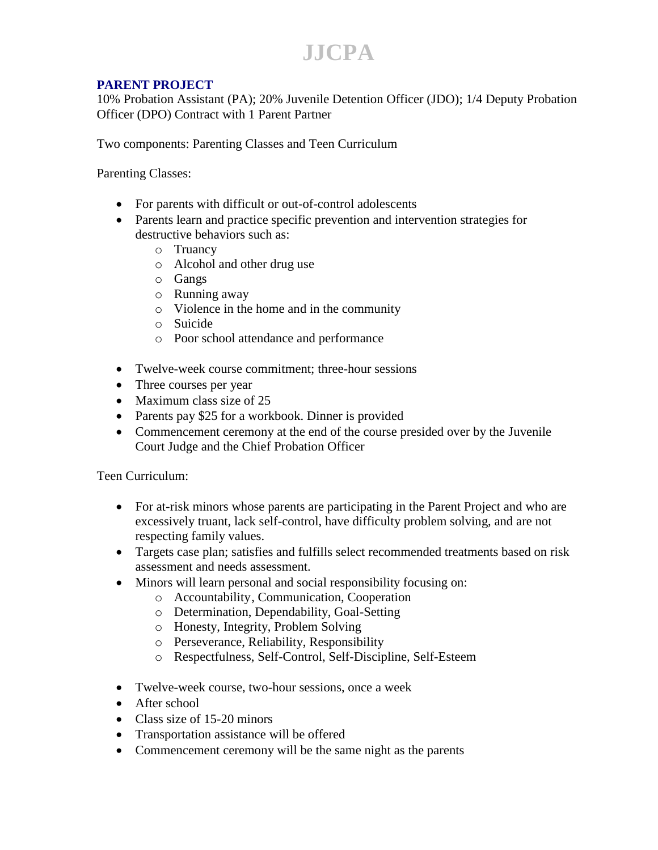### **JJCPA**

### **PARENT PROJECT**

10% Probation Assistant (PA); 20% Juvenile Detention Officer (JDO); 1/4 Deputy Probation Officer (DPO) Contract with 1 Parent Partner

Two components: Parenting Classes and Teen Curriculum

Parenting Classes:

- For parents with difficult or out-of-control adolescents
- Parents learn and practice specific prevention and intervention strategies for destructive behaviors such as:
	- o Truancy
	- o Alcohol and other drug use
	- o Gangs
	- o Running away
	- o Violence in the home and in the community
	- o Suicide
	- o Poor school attendance and performance
- Twelve-week course commitment; three-hour sessions
- Three courses per year
- Maximum class size of 25
- Parents pay \$25 for a workbook. Dinner is provided
- Commencement ceremony at the end of the course presided over by the Juvenile Court Judge and the Chief Probation Officer

Teen Curriculum:

- For at-risk minors whose parents are participating in the Parent Project and who are excessively truant, lack self-control, have difficulty problem solving, and are not respecting family values.
- Targets case plan; satisfies and fulfills select recommended treatments based on risk assessment and needs assessment.
- Minors will learn personal and social responsibility focusing on:
	- o Accountability, Communication, Cooperation
		- o Determination, Dependability, Goal-Setting
		- o Honesty, Integrity, Problem Solving
		- o Perseverance, Reliability, Responsibility
		- o Respectfulness, Self-Control, Self-Discipline, Self-Esteem
- Twelve-week course, two-hour sessions, once a week
- After school
- Class size of 15-20 minors
- Transportation assistance will be offered
- Commencement ceremony will be the same night as the parents